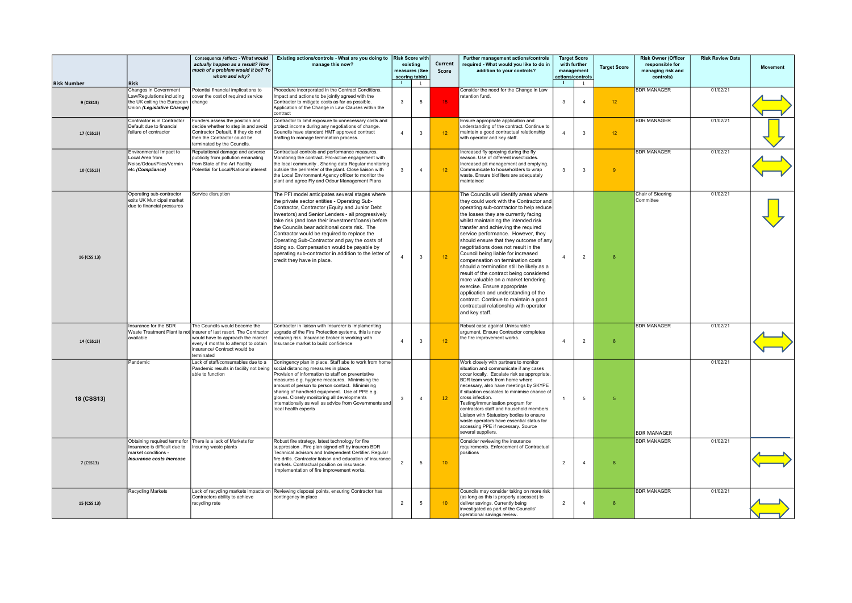|                                 |                                                                                                                                | Consequence /effect: - What would<br>actually happen as a result? How<br>much of a problem would it be? To<br>whom and why?                                                                       | Existing actions/controls - What are you doing to<br>manage this now?                                                                                                                                                                                                                                                                                                                                                                                                                                                                            | <b>Risk Score with</b><br>$\blacksquare$ | existing<br>measures (See<br>scoring table) | Current<br>Score | Further management actions/controls<br>required - What would you like to do in<br>addition to your controls?                                                                                                                                                                                                                                                                                                                                                                                                                                                                                                                                                                                                                                                       | $\blacksquare$ | <b>Target Score</b><br>with further<br>management<br>actions/controls | <b>Target Score</b> | <b>Risk Owner (Officer</b><br>responsible for<br>managing risk and<br>controls) | <b>Risk Review Date</b> | <b>Movement</b> |
|---------------------------------|--------------------------------------------------------------------------------------------------------------------------------|---------------------------------------------------------------------------------------------------------------------------------------------------------------------------------------------------|--------------------------------------------------------------------------------------------------------------------------------------------------------------------------------------------------------------------------------------------------------------------------------------------------------------------------------------------------------------------------------------------------------------------------------------------------------------------------------------------------------------------------------------------------|------------------------------------------|---------------------------------------------|------------------|--------------------------------------------------------------------------------------------------------------------------------------------------------------------------------------------------------------------------------------------------------------------------------------------------------------------------------------------------------------------------------------------------------------------------------------------------------------------------------------------------------------------------------------------------------------------------------------------------------------------------------------------------------------------------------------------------------------------------------------------------------------------|----------------|-----------------------------------------------------------------------|---------------------|---------------------------------------------------------------------------------|-------------------------|-----------------|
| <b>Risk Number</b><br>9 (CSS13) | <b>Risk</b><br>Changes in Government<br>Law/Regulations including<br>the UK exiting the European<br>Union (Legislative Change) | Potential financial implications to<br>cover the cost of required service<br>change                                                                                                               | Procedure incorporated in the Contract Conditions.<br>Impact and actions to be jointly agreed with the<br>Contractor to mitigate costs as far as possible.<br>Application of the Change in Law Clauses within the<br>contract                                                                                                                                                                                                                                                                                                                    | $\overline{3}$                           | $\mathsf{L}$<br>5                           | 15               | Consider the need for the Change in Law<br>retention fund.                                                                                                                                                                                                                                                                                                                                                                                                                                                                                                                                                                                                                                                                                                         | 3              | $\mathsf{L}$<br>$\overline{4}$                                        | 12 <sup>°</sup>     | <b>BDR MANAGER</b>                                                              | 01/02/21                |                 |
| 17 (CSS13)                      | Contractor is in Contractor<br>Default due to financial<br>failure of contractor                                               | Funders assess the position and<br>decide whether to step in and avoid<br>Contractor Default. If they do not<br>then the Contractor could be<br>terminated by the Councils.                       | Contractor to limit exposure to unnecessary costs and<br>protect income during any negotiations of change.<br>Councils have standard HMT approved contract<br>drafting to manage termination process.                                                                                                                                                                                                                                                                                                                                            | $\overline{4}$                           | $\mathbf{3}$                                | 12               | Ensure appropriate application and<br>understanding of the contract. Continue to<br>maintain a good contractual relationship<br>with operator and key staff.                                                                                                                                                                                                                                                                                                                                                                                                                                                                                                                                                                                                       | $\overline{4}$ | $\mathbf{3}$                                                          | 12 <sup>°</sup>     | <b>BDR MANAGER</b>                                                              | 01/02/21                |                 |
| 10 (CSS13)                      | Environmental Impact to<br>Local Area from<br>Noise/Odour/Flies/Vermin<br>etc (Compliance)                                     | eputational damage and adverse<br>ublicity from pollution emanating<br>rom State of the Art Facility.<br>Potential for Local/National interest                                                    | Contractual controls and performance measures.<br>Monitoring the contract. Pro-active engagement with<br>the local community . Sharing data Regular monitoring<br>outside the perimeter of the plant. Close liaison with<br>the Local Environment Agency officer to monitor the<br>plant and agree Fly and Odour Management Plans                                                                                                                                                                                                                | $\mathbf{3}$                             | $\overline{4}$                              | 12               | Increased fly spraying during the fly<br>season. Use of different insecticides.<br>Increased pit management and emptying.<br>Communicate to householders to wrap<br>waste. Ensure biofilters are adequately<br>maintained                                                                                                                                                                                                                                                                                                                                                                                                                                                                                                                                          | 3              | $\mathbf{3}$                                                          | $\overline{9}$      | <b>BDR MANAGER</b>                                                              | 01/02/21                |                 |
| 16 (CSS 13)                     | Operating sub-contractor<br>exits UK Municipal market<br>due to financial pressures                                            | Service disruption                                                                                                                                                                                | The PFI model anticipates several stages where<br>the private sector entities - Operating Sub-<br>Contractor, Contractor (Equity and Junior Debt<br>Investors) and Senior Lenders - all progressively<br>take risk (and lose their investment/loans) before<br>the Councils bear additional costs risk. The<br>Contractor would be required to replace the<br>Operating Sub-Contractor and pay the costs of<br>doing so. Compensation would be payable by<br>operating sub-contractor in addition to the letter of<br>credit they have in place. | $\Delta$                                 | $\mathbf{3}$                                | 12               | The Councils will identify areas where<br>they could work with the Contractor and<br>operating sub-contractor to help reduce<br>the losses they are currently facing<br>whilst maintaining the intended risk<br>transfer and achieving the required<br>service performance. However, they<br>should ensure that they outcome of any<br>negotitations does not result in the<br>Council being liable for increased<br>compensation on termination costs<br>should a termination still be likely as a<br>result of the contract being considered<br>more valuable on a market tendering<br>exercise. Ensure appropriate<br>application and understanding of the<br>contract. Continue to maintain a good<br>contractual relationship with operator<br>and key staff. | $\Delta$       | $\overline{2}$                                                        | 8                   | Chair of Steering<br>Committee                                                  | 01/02/21                |                 |
| 14 (CSS13)                      | Insurance for the BDR<br>Waste Treatment Plant is not<br>available                                                             | The Councils would become the<br>insurer of last resort. The Contractor<br>would have to approach the market<br>every 4 months to attempt to obtain<br>insurance/ Contract would be<br>terminated | Contractor in liaison with Insurerer is implamenting<br>upgrade of the Fire Protection systems, this is now<br>reducing risk. Insurance broker is working with<br>Insurance market to build confidence                                                                                                                                                                                                                                                                                                                                           | $\overline{4}$                           | $\overline{3}$                              | 12 <sup>°</sup>  | Robust case against Uninsurable<br>argument. Ensure Contractor completes<br>the fire improvement works.                                                                                                                                                                                                                                                                                                                                                                                                                                                                                                                                                                                                                                                            | $\overline{4}$ | $\overline{2}$                                                        | 8                   | <b>BDR MANAGER</b>                                                              | 01/02/21                |                 |
| 18 (CSS13)                      | Pandemic                                                                                                                       | Lack of staff/consumables due to a<br>Pandemic results in facility not being<br>able to function                                                                                                  | Coningency plan in place. Staff abe to work from home<br>social distancing measures in place.<br>Provision of information to staff on preventative<br>measures e.g. hygiene measures. Minimising the<br>amount of person to person contact. Minimising<br>sharing of handheld equipment. Use of PPE e.g.<br>gloves. Closely monitoring all developments<br>nternationally as well as advice from Governments and<br>local health experts                                                                                                         | $\mathbf{3}$                             | $\overline{4}$                              | 12               | Work closely with partners to monitor<br>situation and communicate if any cases<br>occur locally. Escalate risk as appropriate.<br>BDR team work from home where<br>necessary, also have meetings by SKYPE<br>if situation escalates to minimise chance of<br>cross infection.<br>Testing/Immunisation program for<br>contractors staff and household members.<br>Liaison with Statuatory bodies to ensure<br>waste operators have essential status for<br>accessing PPE if necessary. Source<br>several suppliers.                                                                                                                                                                                                                                                |                | 5                                                                     | -5                  | <b>BDR MANAGER</b>                                                              | 01/02/21                |                 |
| 7 (CSS13)                       | Insurance is difficult due to<br>market conditions -<br>Insurance costs increase                                               | Obtaining required terms for There is a lack of Markets for<br>Insuring waste plants                                                                                                              | Robust fire strategy, latest technology for fire<br>suppression . Fire plan signed off by insurers BDR<br>Technical advisors and Independent Certifier. Regular<br>fire drills. Contractor liaison and education of insurance<br>markets. Contractual position on insurance.<br>Implementation of fire improvement works.                                                                                                                                                                                                                        | $\overline{2}$                           | $5\phantom{.0}$                             | 10               | Consider reviewing the insurance<br>requirements. Enforcement of Contractual<br>positions                                                                                                                                                                                                                                                                                                                                                                                                                                                                                                                                                                                                                                                                          | $\overline{2}$ | $\mathbf{A}$                                                          | $\mathbf{R}$        | <b>BDR MANAGER</b>                                                              | 01/02/21                |                 |
| 15 (CSS 13)                     | <b>Recycling Markets</b>                                                                                                       | Contractors ability to achieve<br>recycling rate                                                                                                                                                  | Lack of recycling markets impacts on Reviewing disposal points, ensuring Contractor has<br>contingency in place                                                                                                                                                                                                                                                                                                                                                                                                                                  | $\overline{2}$                           | 5                                           | 10 <sup>°</sup>  | Councils may consider taking on more risk<br>(as long as this is properly assessed) to<br>deliver savings. Currently being<br>investigated as part of the Councils'<br>operational savings review.                                                                                                                                                                                                                                                                                                                                                                                                                                                                                                                                                                 | $\overline{a}$ | $\overline{4}$                                                        | 8                   | <b>BDR MANAGER</b>                                                              | 01/02/21                |                 |